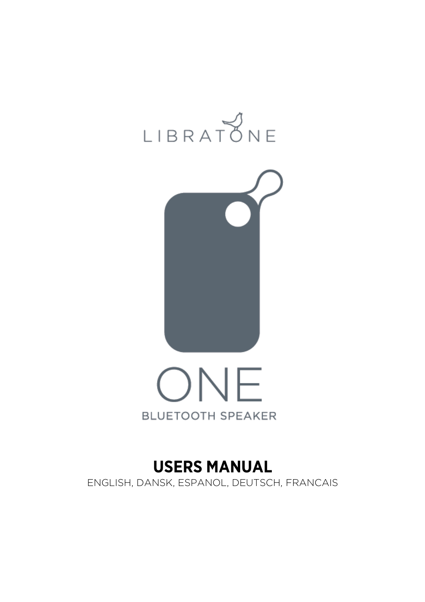





# **USERS MANUAL**  ENGLISH, DANSK, ESPANOL, DEUTSCH, FRANCAIS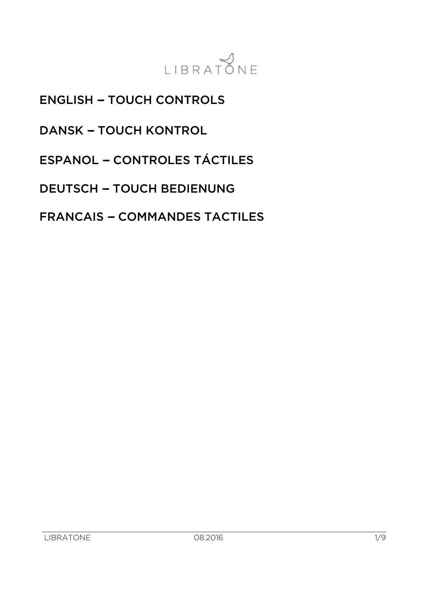

**ENGLISH - TOUCH CONTROLS** 

DANSK - TOUCH KONTROL

ESPANOL - CONTROLES TÁCTILES

DEUTSCH - TOUCH BEDIENUNG

**FRANCAIS - COMMANDES TACTILES**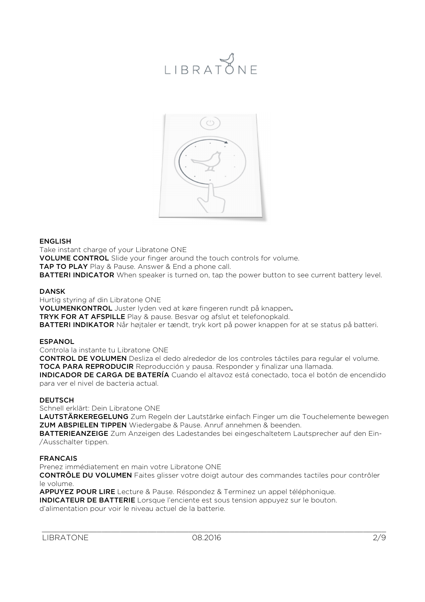

#### ENGLISH

Take instant charge of your Libratone ONE VOLUME CONTROL Slide your finger around the touch controls for volume. **TAP TO PLAY** Play & Pause. Answer & End a phone call. **BATTERI INDICATOR** When speaker is turned on, tap the power button to see current battery level.

#### DANSK

Hurtig styring af din Libratone ONE VOLUMENKONTROL Juster lyden ved at køre fingeren rundt på knappen. TRYK FOR AT AFSPILLE Play & pause. Besvar og afslut et telefonopkald. BATTERI INDIKATOR Når højtaler er tændt, tryk kort på power knappen for at se status på batteri.

#### **ESPANOL**

Controla la instante tu Libratone ONE

CONTROL DE VOLUMEN Desliza el dedo alrededor de los controles táctiles para regular el volume. TOCA PARA REPRODUCIR Reproducción y pausa. Responder y finalizar una llamada.

INDICADOR DE CARGA DE BATERÍA Cuando el altavoz está conectado, toca el botón de encendido para ver el nivel de bacteria actual.

#### **DEUTSCH**

Schnell erklärt: Dein Libratone ONE

LAUTSTÄRKEREGELUNG Zum Regeln der Lautstärke einfach Finger um die Touchelemente bewegen ZUM ABSPIELEN TIPPEN Wiedergabe & Pause. Anruf annehmen & beenden.

BATTERIEANZEIGE Zum Anzeigen des Ladestandes bei eingeschaltetem Lautsprecher auf den Ein-/Ausschalter tippen.

#### FRANCAIS

Prenez immédiatement en main votre Libratone ONE

CONTRÔLE DU VOLUMEN Faites glisser votre doigt autour des commandes tactiles pour contrôler le volume.

APPUYEZ POUR LIRE Lecture & Pause. Réspondez & Terminez un appel téléphonique.

INDICATEUR DE BATTERIE Lorsque l'enciente est sous tension appuyez sur le bouton.

d'alimentation pour voir le niveau actuel de la batterie.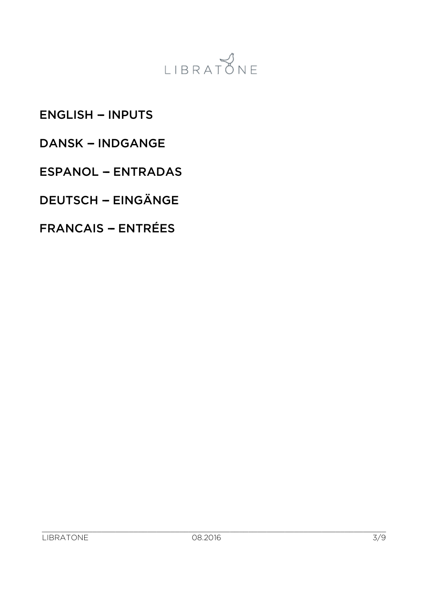

## **ENGLISH - INPUTS**

### DANSK - INDGANGE

### ESPANOL - ENTRADAS

# DEUTSCH -- EINGÄNGE

## FRANCAIS - ENTRÉES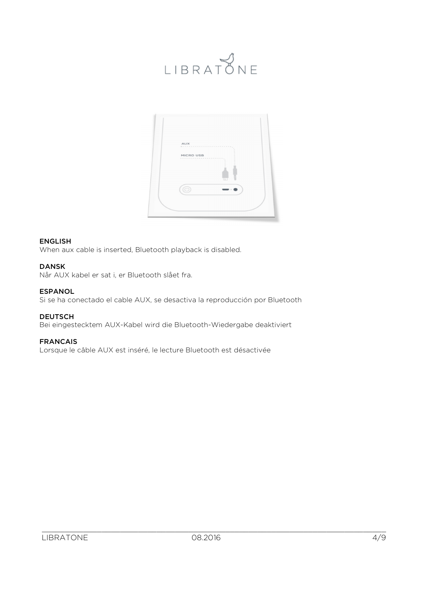



#### ENGLISH

When aux cable is inserted, Bluetooth playback is disabled.

#### DANSK

Når AUX kabel er sat i, er Bluetooth slået fra.

#### ESPANOL

Si se ha conectado el cable AUX, se desactiva la reproducción por Bluetooth

#### DEUTSCH

Bei eingestecktem AUX-Kabel wird die Bluetooth-Wiedergabe deaktiviert

#### FRANCAIS

Lorsque le câble AUX est inséré, le lecture Bluetooth est désactivée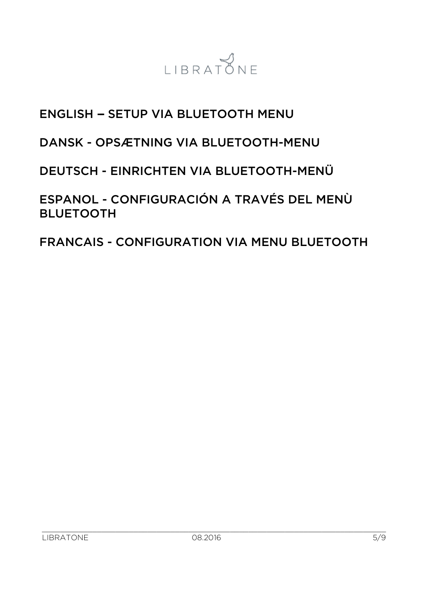

# **ENGLISH - SETUP VIA BLUETOOTH MENU**

# DANSK - OPSÆTNING VIA BLUETOOTH-MENU

# DEUTSCH - EINRICHTEN VIA BLUETOOTH-MENÜ

ESPANOL - CONFIGURACIÓN A TRAVÉS DEL MENÙ BLUETOOTH

FRANCAIS - CONFIGURATION VIA MENU BLUETOOTH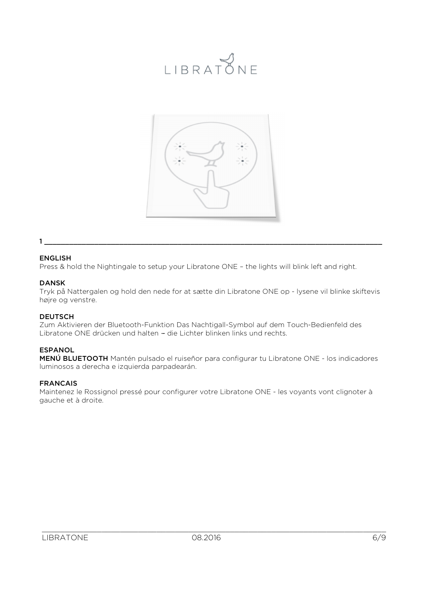# LIBRATONE



#### 1 \_\_\_\_\_\_\_\_\_\_\_\_\_\_\_\_\_\_\_\_\_\_\_\_\_\_\_\_\_\_\_\_\_\_\_\_\_\_\_\_\_\_\_\_\_\_\_\_\_\_\_\_\_\_\_\_\_\_\_\_\_\_\_\_\_\_\_\_\_\_\_\_\_\_\_\_\_\_\_\_\_

#### ENGLISH

Press & hold the Nightingale to setup your Libratone ONE – the lights will blink left and right.

#### DANSK

Tryk på Nattergalen og hold den nede for at sætte din Libratone ONE op - lysene vil blinke skiftevis højre og venstre.

#### **DEUTSCH**

Zum Aktivieren der Bluetooth-Funktion Das Nachtigall-Symbol auf dem Touch-Bedienfeld des Libratone ONE drücken und halten - die Lichter blinken links und rechts.

#### ESPANOL

MENÚ BLUETOOTH Mantén pulsado el ruiseñor para configurar tu Libratone ONE - los indicadores luminosos a derecha e izquierda parpadearán.

#### FRANCAIS

Maintenez le Rossignol pressé pour configurer votre Libratone ONE - les voyants vont clignoter à gauche et à droite.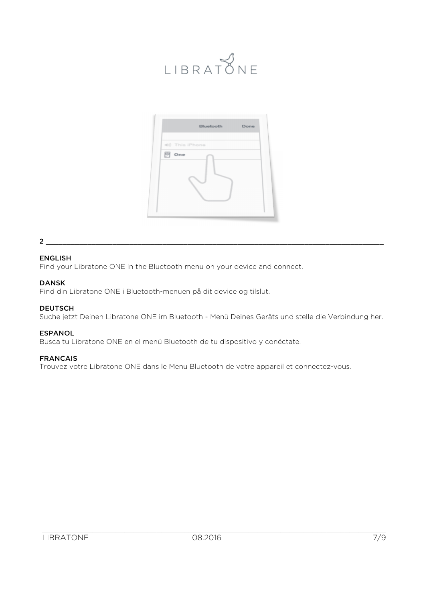# LIBRATONE



#### 2 \_\_\_\_\_\_\_\_\_\_\_\_\_\_\_\_\_\_\_\_\_\_\_\_\_\_\_\_\_\_\_\_\_\_\_\_\_\_\_\_\_\_\_\_\_\_\_\_\_\_\_\_\_\_\_\_\_\_\_\_\_\_\_\_\_\_\_\_\_\_\_\_\_\_\_\_\_\_\_\_\_

#### ENGLISH

Find your Libratone ONE in the Bluetooth menu on your device and connect.

#### DANSK

Find din Libratone ONE i Bluetooth-menuen på dit device og tilslut.

#### **DEUTSCH**

Suche jetzt Deinen Libratone ONE im Bluetooth - Menü Deines Geräts und stelle die Verbindung her.

#### ESPANOL

Busca tu Libratone ONE en el menú Bluetooth de tu dispositivo y conéctate.

#### FRANCAIS

Trouvez votre Libratone ONE dans le Menu Bluetooth de votre appareil et connectez-vous.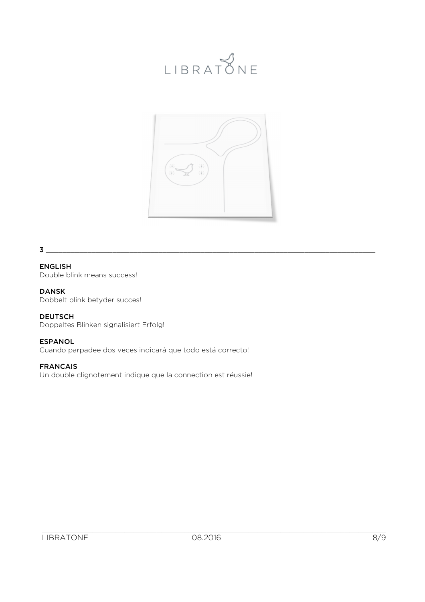

#### 3 \_\_\_\_\_\_\_\_\_\_\_\_\_\_\_\_\_\_\_\_\_\_\_\_\_\_\_\_\_\_\_\_\_\_\_\_\_\_\_\_\_\_\_\_\_\_\_\_\_\_\_\_\_\_\_\_\_\_\_\_\_\_\_\_\_\_\_\_\_\_\_\_\_\_\_\_\_\_\_

ENGLISH Double blink means success!

#### DANSK

Dobbelt blink betyder succes!

DEUTSCH Doppeltes Blinken signalisiert Erfolg!

#### ESPANOL

Cuando parpadee dos veces indicará que todo está correcto!

#### FRANCAIS

Un double clignotement indique que la connection est réussie!